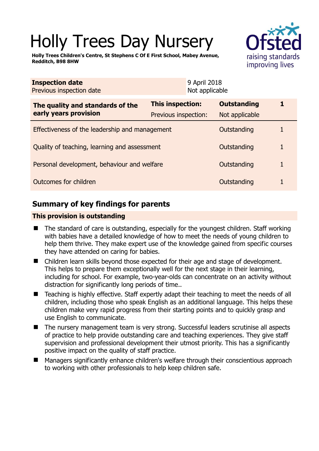# Holly Trees Day Nursery

**Holly Trees Children's Centre, St Stephens C Of E First School, Mabey Avenue, Redditch, B98 8HW** 



| <b>Inspection date</b><br>Previous inspection date        |                                          | 9 April 2018<br>Not applicable |                                      |  |
|-----------------------------------------------------------|------------------------------------------|--------------------------------|--------------------------------------|--|
| The quality and standards of the<br>early years provision | This inspection:<br>Previous inspection: |                                | <b>Outstanding</b><br>Not applicable |  |
| Effectiveness of the leadership and management            |                                          |                                | Outstanding                          |  |
| Quality of teaching, learning and assessment              |                                          |                                | Outstanding                          |  |
| Personal development, behaviour and welfare               |                                          |                                | Outstanding                          |  |
| Outcomes for children                                     |                                          |                                | Outstanding                          |  |

## **Summary of key findings for parents**

## **This provision is outstanding**

- The standard of care is outstanding, especially for the youngest children. Staff working with babies have a detailed knowledge of how to meet the needs of young children to help them thrive. They make expert use of the knowledge gained from specific courses they have attended on caring for babies.
- Children learn skills beyond those expected for their age and stage of development. This helps to prepare them exceptionally well for the next stage in their learning, including for school. For example, two-year-olds can concentrate on an activity without distraction for significantly long periods of time..
- Teaching is highly effective. Staff expertly adapt their teaching to meet the needs of all children, including those who speak English as an additional language. This helps these children make very rapid progress from their starting points and to quickly grasp and use English to communicate.
- The nursery management team is very strong. Successful leaders scrutinise all aspects of practice to help provide outstanding care and teaching experiences. They give staff supervision and professional development their utmost priority. This has a significantly positive impact on the quality of staff practice.
- Managers significantly enhance children's welfare through their conscientious approach to working with other professionals to help keep children safe.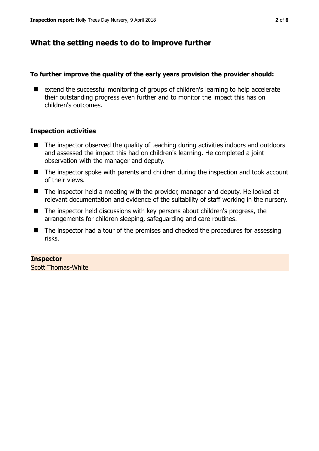## **What the setting needs to do to improve further**

#### **To further improve the quality of the early years provision the provider should:**

■ extend the successful monitoring of groups of children's learning to help accelerate their outstanding progress even further and to monitor the impact this has on children's outcomes.

## **Inspection activities**

- The inspector observed the quality of teaching during activities indoors and outdoors and assessed the impact this had on children's learning. He completed a joint observation with the manager and deputy.
- The inspector spoke with parents and children during the inspection and took account of their views.
- The inspector held a meeting with the provider, manager and deputy. He looked at relevant documentation and evidence of the suitability of staff working in the nursery.
- The inspector held discussions with key persons about children's progress, the arrangements for children sleeping, safeguarding and care routines.
- $\blacksquare$  The inspector had a tour of the premises and checked the procedures for assessing risks.

## **Inspector**

Scott Thomas-White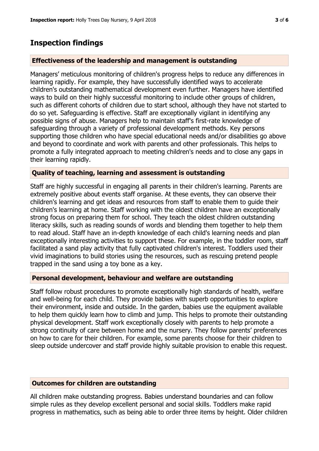## **Inspection findings**

### **Effectiveness of the leadership and management is outstanding**

Managers' meticulous monitoring of children's progress helps to reduce any differences in learning rapidly. For example, they have successfully identified ways to accelerate children's outstanding mathematical development even further. Managers have identified ways to build on their highly successful monitoring to include other groups of children, such as different cohorts of children due to start school, although they have not started to do so yet. Safeguarding is effective. Staff are exceptionally vigilant in identifying any possible signs of abuse. Managers help to maintain staff's first-rate knowledge of safeguarding through a variety of professional development methods. Key persons supporting those children who have special educational needs and/or disabilities go above and beyond to coordinate and work with parents and other professionals. This helps to promote a fully integrated approach to meeting children's needs and to close any gaps in their learning rapidly.

#### **Quality of teaching, learning and assessment is outstanding**

Staff are highly successful in engaging all parents in their children's learning. Parents are extremely positive about events staff organise. At these events, they can observe their children's learning and get ideas and resources from staff to enable them to guide their children's learning at home. Staff working with the oldest children have an exceptionally strong focus on preparing them for school. They teach the oldest children outstanding literacy skills, such as reading sounds of words and blending them together to help them to read aloud. Staff have an in-depth knowledge of each child's learning needs and plan exceptionally interesting activities to support these. For example, in the toddler room, staff facilitated a sand play activity that fully captivated children's interest. Toddlers used their vivid imaginations to build stories using the resources, such as rescuing pretend people trapped in the sand using a toy bone as a key.

#### **Personal development, behaviour and welfare are outstanding**

Staff follow robust procedures to promote exceptionally high standards of health, welfare and well-being for each child. They provide babies with superb opportunities to explore their environment, inside and outside. In the garden, babies use the equipment available to help them quickly learn how to climb and jump. This helps to promote their outstanding physical development. Staff work exceptionally closely with parents to help promote a strong continuity of care between home and the nursery. They follow parents' preferences on how to care for their children. For example, some parents choose for their children to sleep outside undercover and staff provide highly suitable provision to enable this request.

#### **Outcomes for children are outstanding**

All children make outstanding progress. Babies understand boundaries and can follow simple rules as they develop excellent personal and social skills. Toddlers make rapid progress in mathematics, such as being able to order three items by height. Older children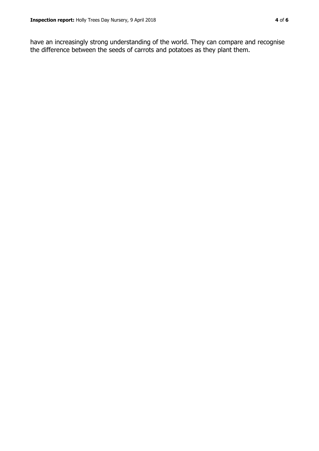have an increasingly strong understanding of the world. They can compare and recognise the difference between the seeds of carrots and potatoes as they plant them.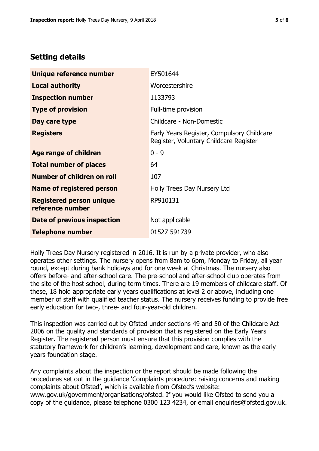## **Setting details**

| Unique reference number                             | EY501644                                                                             |  |
|-----------------------------------------------------|--------------------------------------------------------------------------------------|--|
| <b>Local authority</b>                              | Worcestershire                                                                       |  |
| <b>Inspection number</b>                            | 1133793                                                                              |  |
| <b>Type of provision</b>                            | Full-time provision                                                                  |  |
| Day care type                                       | Childcare - Non-Domestic                                                             |  |
| <b>Registers</b>                                    | Early Years Register, Compulsory Childcare<br>Register, Voluntary Childcare Register |  |
| Age range of children                               | $0 - 9$                                                                              |  |
| <b>Total number of places</b>                       | 64                                                                                   |  |
| <b>Number of children on roll</b>                   | 107                                                                                  |  |
| Name of registered person                           | Holly Trees Day Nursery Ltd                                                          |  |
| <b>Registered person unique</b><br>reference number | RP910131                                                                             |  |
| Date of previous inspection                         | Not applicable                                                                       |  |
| <b>Telephone number</b>                             | 01527 591739                                                                         |  |

Holly Trees Day Nursery registered in 2016. It is run by a private provider, who also operates other settings. The nursery opens from 8am to 6pm, Monday to Friday, all year round, except during bank holidays and for one week at Christmas. The nursery also offers before- and after-school care. The pre-school and after-school club operates from the site of the host school, during term times. There are 19 members of childcare staff. Of these, 18 hold appropriate early years qualifications at level 2 or above, including one member of staff with qualified teacher status. The nursery receives funding to provide free early education for two-, three- and four-year-old children.

This inspection was carried out by Ofsted under sections 49 and 50 of the Childcare Act 2006 on the quality and standards of provision that is registered on the Early Years Register. The registered person must ensure that this provision complies with the statutory framework for children's learning, development and care, known as the early years foundation stage.

Any complaints about the inspection or the report should be made following the procedures set out in the guidance 'Complaints procedure: raising concerns and making complaints about Ofsted', which is available from Ofsted's website: www.gov.uk/government/organisations/ofsted. If you would like Ofsted to send you a copy of the guidance, please telephone 0300 123 4234, or email enquiries@ofsted.gov.uk.